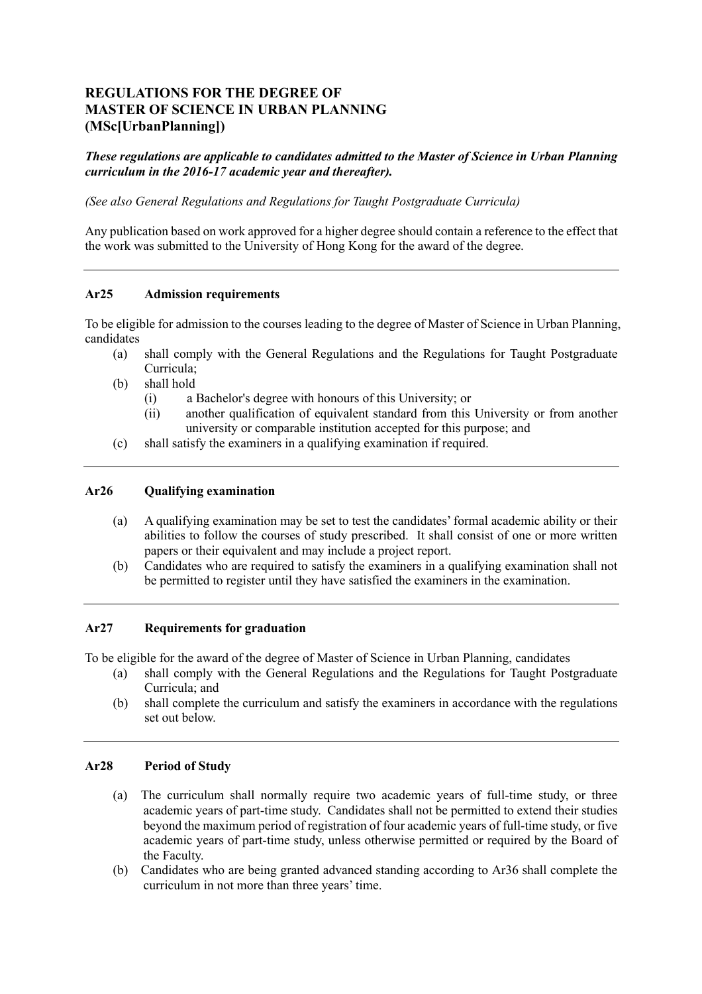# **MASTER OF SCIENCE IN URBAN PLANNING (MSc[UrbanPlanning]) REGULATIONS FOR THE DEGREE OF**

 *These regulations are applicable to candidates admitted to the Master of Science in Urban Planning curriculum in the 2016-17 academic year and thereafter).* 

 *(See also General Regulations and Regulations for Taught Postgraduate Curricula)* 

 Any publication based on work approved for a higher degree should contain a reference to the effect that the work was submitted to the University of Hong Kong for the award of the degree.

### **Ar25 Admission requirements**

 To be eligible for admission to the courses leading to the degree of Master of Science in Urban Planning, candidates

- (a) shall comply with the General Regulations and the Regulations for Taught Postgraduate Curricula;
- (b) shall hold
	- (i) a Bachelor's degree with honours of this University; or
	- (ii) another qualification of equivalent standard from this University or from another university or comparable institution accepted for this purpose; and
- (c) shall satisfy the examiners in a qualifying examination if required.

### **Ar26 Qualifying examination**

- (a) A qualifying examination may be set to test the candidates' formal academic ability or their abilities to follow the courses of study prescribed. It shall consist of one or more written papers or their equivalent and may include a project report.
- (b) Candidates who are required to satisfy the examiners in a qualifying examination shall not be permitted to register until they have satisfied the examiners in the examination.

### **Ar27 Requirements for graduation**

To be eligible for the award of the degree of Master of Science in Urban Planning, candidates

- (a) shall comply with the General Regulations and the Regulations for Taught Postgraduate Curricula; and
- (b) shall complete the curriculum and satisfy the examiners in accordance with the regulations set out below.

### **Ar28 Period of Study**

- (a) The curriculum shall normally require two academic years of full-time study, or three academic years of part-time study. Candidates shall not be permitted to extend their studies beyond the maximum period of registration of four academic years of full-time study, or five academic years of part-time study, unless otherwise permitted or required by the Board of the Faculty.
- (b) Candidates who are being granted advanced standing according to Ar36 shall complete the curriculum in not more than three years' time.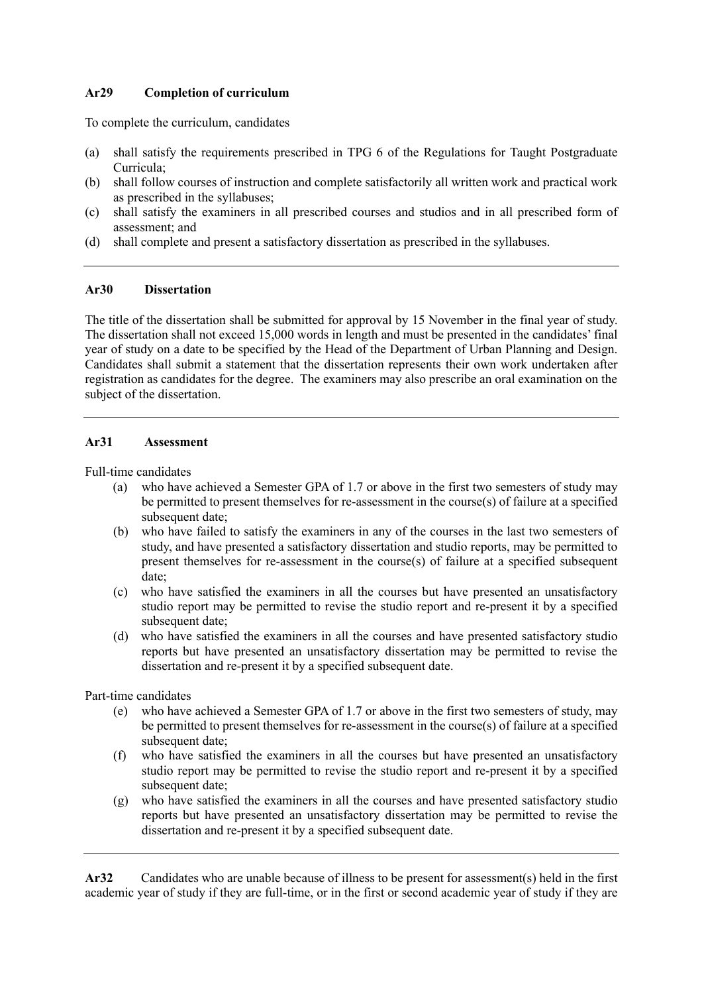### **Ar29 Completion of curriculum**

To complete the curriculum, candidates

- (a) shall satisfy the requirements prescribed in TPG 6 of the Regulations for Taught Postgraduate Curricula;
- (b) shall follow courses of instruction and complete satisfactorily all written work and practical work as prescribed in the syllabuses;
- (c) shall satisfy the examiners in all prescribed courses and studios and in all prescribed form of assessment; and
- (d) shall complete and present a satisfactory dissertation as prescribed in the syllabuses.

### **Ar30 Dissertation**

 The title of the dissertation shall be submitted for approval by 15 November in the final year of study. The dissertation shall not exceed 15,000 words in length and must be presented in the candidates' final year of study on a date to be specified by the Head of the Department of Urban Planning and Design. Candidates shall submit a statement that the dissertation represents their own work undertaken after registration as candidates for the degree. The examiners may also prescribe an oral examination on the subject of the dissertation.

### **Ar31 Assessment**

Full-time candidates

- (a) who have achieved a Semester GPA of 1.7 or above in the first two semesters of study may be permitted to present themselves for re-assessment in the course(s) of failure at a specified subsequent date:
- (b) who have failed to satisfy the examiners in any of the courses in the last two semesters of study, and have presented a satisfactory dissertation and studio reports, may be permitted to present themselves for re-assessment in the course(s) of failure at a specified subsequent date;
- (c) who have satisfied the examiners in all the courses but have presented an unsatisfactory studio report may be permitted to revise the studio report and re-present it by a specified subsequent date;
- (d) who have satisfied the examiners in all the courses and have presented satisfactory studio reports but have presented an unsatisfactory dissertation may be permitted to revise the dissertation and re-present it by a specified subsequent date.

Part-time candidates

- (e) who have achieved a Semester GPA of 1.7 or above in the first two semesters of study, may be permitted to present themselves for re-assessment in the course(s) of failure at a specified subsequent date;
- (f) who have satisfied the examiners in all the courses but have presented an unsatisfactory studio report may be permitted to revise the studio report and re-present it by a specified subsequent date:
- (g) who have satisfied the examiners in all the courses and have presented satisfactory studio dissertation and re-present it by a specified subsequent date. reports but have presented an unsatisfactory dissertation may be permitted to revise the

 **Ar32** Candidates who are unable because of illness to be present for assessment(s) held in the first academic year of study if they are full-time, or in the first or second academic year of study if they are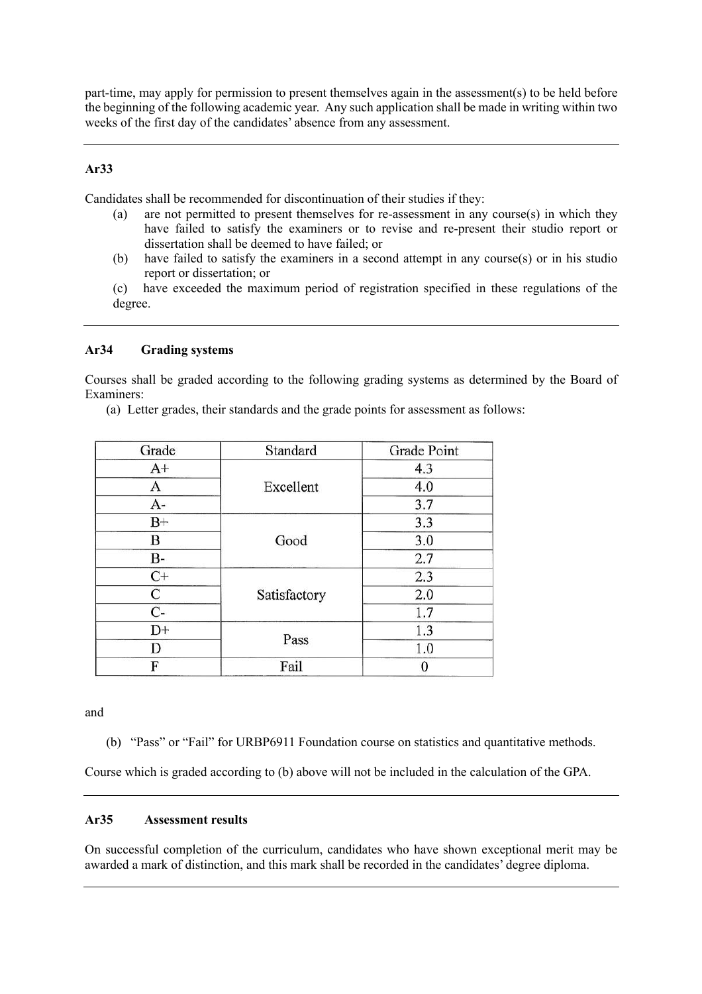part-time, may apply for permission to present themselves again in the assessment(s) to be held before the beginning of the following academic year. Any such application shall be made in writing within two weeks of the first day of the candidates' absence from any assessment.

### **Ar33**

Candidates shall be recommended for discontinuation of their studies if they:

- (a) are not permitted to present themselves for re-assessment in any course(s) in which they have failed to satisfy the examiners or to revise and re-present their studio report or dissertation shall be deemed to have failed; or
- (b) have failed to satisfy the examiners in a second attempt in any course(s) or in his studio report or dissertation; or

 (c) have exceeded the maximum period of registration specified in these regulations of the degree.

### **Ar34 Grading systems**

 Courses shall be graded according to the following grading systems as determined by the Board of Examiners:

(a) Letter grades, their standards and the grade points for assessment as follows:

| Grade           | Standard     | Grade Point |
|-----------------|--------------|-------------|
| $A+$            | Excellent    | 4.3         |
| A               |              | 4.0         |
| A-              |              | 3.7         |
| $B+$            | Good         | 3.3         |
| B               |              | 3.0         |
| В-              |              | 2.7         |
| $\overline{C+}$ | Satisfactory | 2.3         |
| С               |              | 2.0         |
| $\overline{C}$  |              | 1.7         |
| D+              | Pass         | 1.3         |
| D               |              | 1.0         |
| F               | Fail         | 0           |

and

(b) "Pass" or "Fail" for URBP6911 Foundation course on statistics and quantitative methods.

Course which is graded according to (b) above will not be included in the calculation of the GPA.

### **Ar35 Assessment results**

 On successful completion of the curriculum, candidates who have shown exceptional merit may be awarded a mark of distinction, and this mark shall be recorded in the candidates' degree diploma.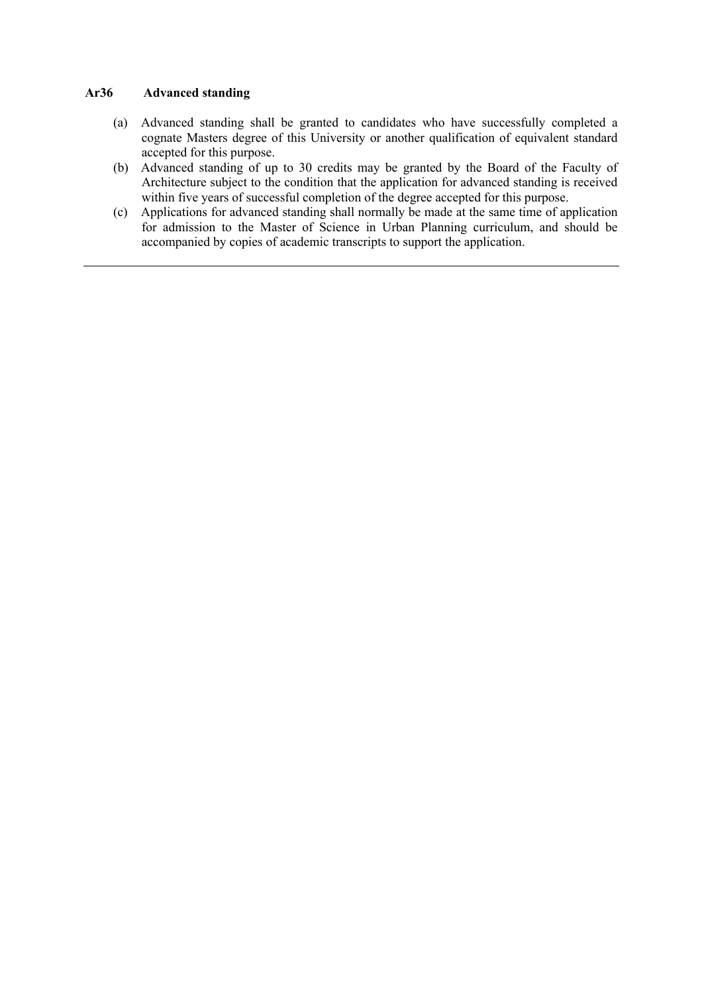#### Ar36 **Advanced standing**

- (a) Advanced standing shall be granted to candidates who have successfully completed a cognate Masters degree of this University or another qualification of equivalent standard accepted for this purpose.
- (b) Advanced standing of up to 30 credits may be granted by the Board of the Faculty of Architecture subject to the condition that the application for advanced standing is received within five years of successful completion of the degree accepted for this purpose.
- (c) Applications for advanced standing shall normally be made at the same time of application for admission to the Master of Science in Urban Planning curriculum, and should be accompanied by copies of academic transcripts to support the application.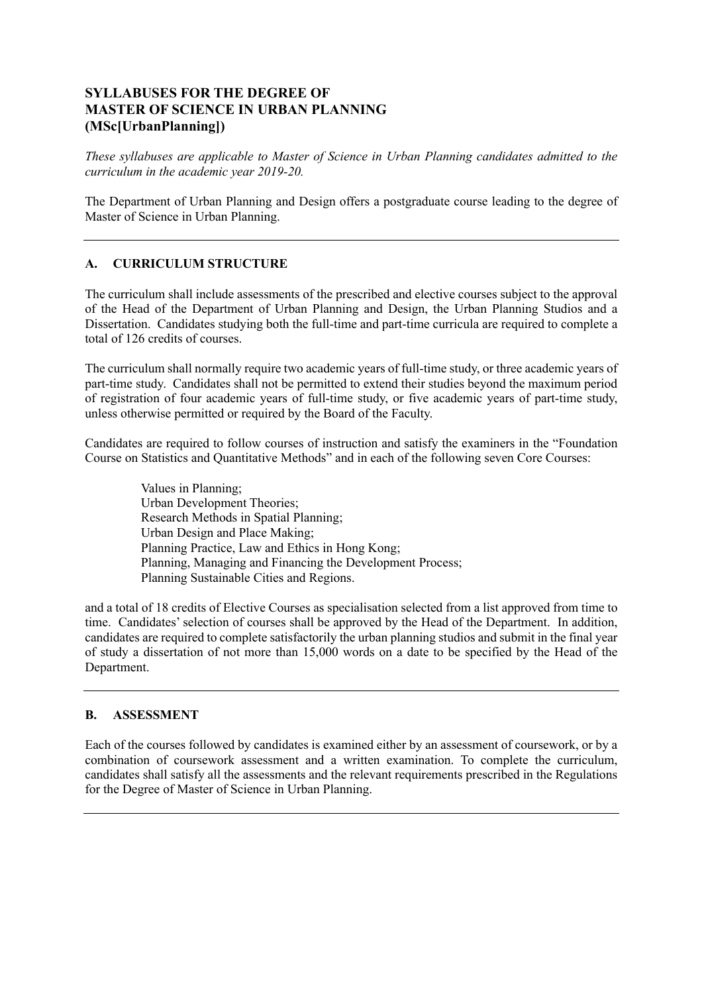# **SYLLABUSES FOR THE DEGREE OF MASTER OF SCIENCE IN URBAN PLANNING (MSc[UrbanPlanning])**

 *These syllabuses are applicable to Master of Science in Urban Planning candidates admitted to the curriculum in the academic year 2019-20.* 

 The Department of Urban Planning and Design offers a postgraduate course leading to the degree of Master of Science in Urban Planning.

## **A. CURRICULUM STRUCTURE**

 The curriculum shall include assessments of the prescribed and elective courses subject to the approval of the Head of the Department of Urban Planning and Design, the Urban Planning Studios and a Dissertation. Candidates studying both the full-time and part-time curricula are required to complete a total of 126 credits of courses.

 The curriculum shall normally require two academic years of full-time study, or three academic years of part-time study. Candidates shall not be permitted to extend their studies beyond the maximum period of registration of four academic years of full-time study, or five academic years of part-time study, unless otherwise permitted or required by the Board of the Faculty.

 Candidates are required to follow courses of instruction and satisfy the examiners in the "Foundation Course on Statistics and Quantitative Methods" and in each of the following seven Core Courses:

> Values in Planning; Urban Design and Place Making; Planning Practice, Law and Ethics in Hong Kong; Urban Development Theories; Research Methods in Spatial Planning; Planning, Managing and Financing the Development Process; Planning Sustainable Cities and Regions.

 and a total of 18 credits of Elective Courses as specialisation selected from a list approved from time to time. Candidates' selection of courses shall be approved by the Head of the Department. In addition, candidates are required to complete satisfactorily the urban planning studios and submit in the final year of study a dissertation of not more than 15,000 words on a date to be specified by the Head of the Department.

## **B. ASSESSMENT**

 Each of the courses followed by candidates is examined either by an assessment of coursework, or by a combination of coursework assessment and a written examination. To complete the curriculum, candidates shall satisfy all the assessments and the relevant requirements prescribed in the Regulations for the Degree of Master of Science in Urban Planning.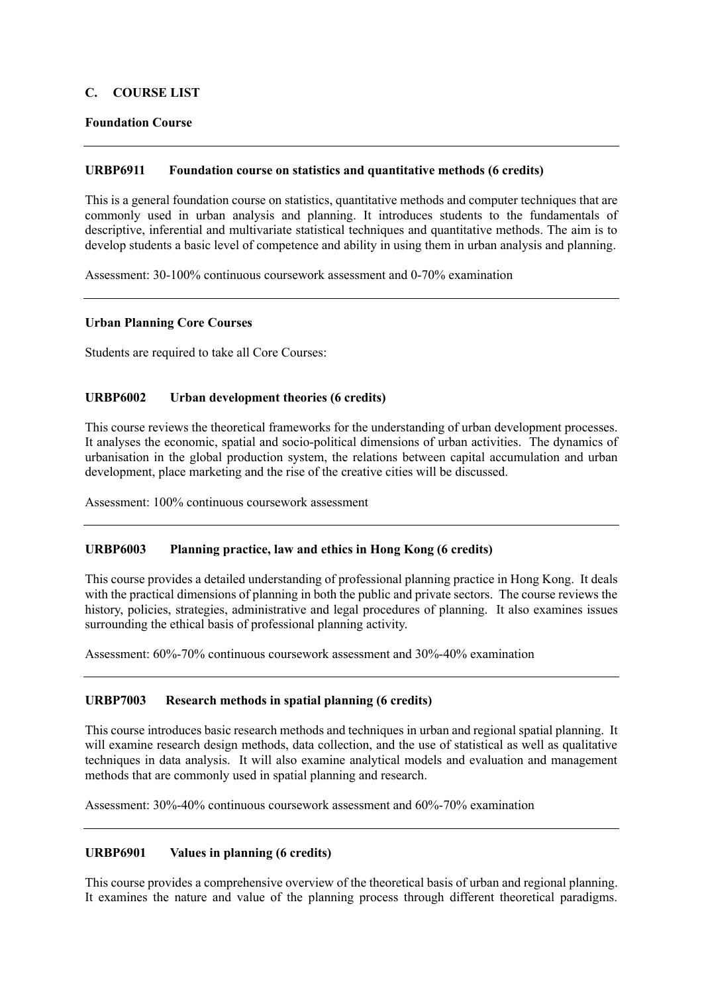### **C. COURSE LIST**

### **Foundation Course**

#### **URBP6911** Foundation course on statistics and quantitative methods (6 credits)

 This is a general foundation course on statistics, quantitative methods and computer techniques that are commonly used in urban analysis and planning. It introduces students to the fundamentals of descriptive, inferential and multivariate statistical techniques and quantitative methods. The aim is to develop students a basic level of competence and ability in using them in urban analysis and planning.

Assessment: 30-100% continuous coursework assessment and 0-70% examination

### **Urban Planning Core Courses**

Students are required to take all Core Courses:

#### Urban development theories (6 credits)

 This course reviews the theoretical frameworks for the understanding of urban development processes. It analyses the economic, spatial and socio-political dimensions of urban activities. The dynamics of development, place marketing and the rise of the creative cities will be discussed. urbanisation in the global production system, the relations between capital accumulation and urban

Assessment: 100% continuous coursework assessment

#### **URBP6003** Planning practice, law and ethics in Hong Kong (6 credits)

 This course provides a detailed understanding of professional planning practice in Hong Kong. It deals with the practical dimensions of planning in both the public and private sectors. The course reviews the history, policies, strategies, administrative and legal procedures of planning. It also examines issues surrounding the ethical basis of professional planning activity.

Assessment: 60%-70% continuous coursework assessment and 30%-40% examination

### **URBP7003 Research methods in spatial planning (6 credits)**

 This course introduces basic research methods and techniques in urban and regional spatial planning. It will examine research design methods, data collection, and the use of statistical as well as qualitative techniques in data analysis. It will also examine analytical models and evaluation and management methods that are commonly used in spatial planning and research.

Assessment: 30%-40% continuous coursework assessment and 60%-70% examination

#### **I**IRRP6901 Values in planning (6 credits)

 This course provides a comprehensive overview of the theoretical basis of urban and regional planning. It examines the nature and value of the planning process through different theoretical paradigms.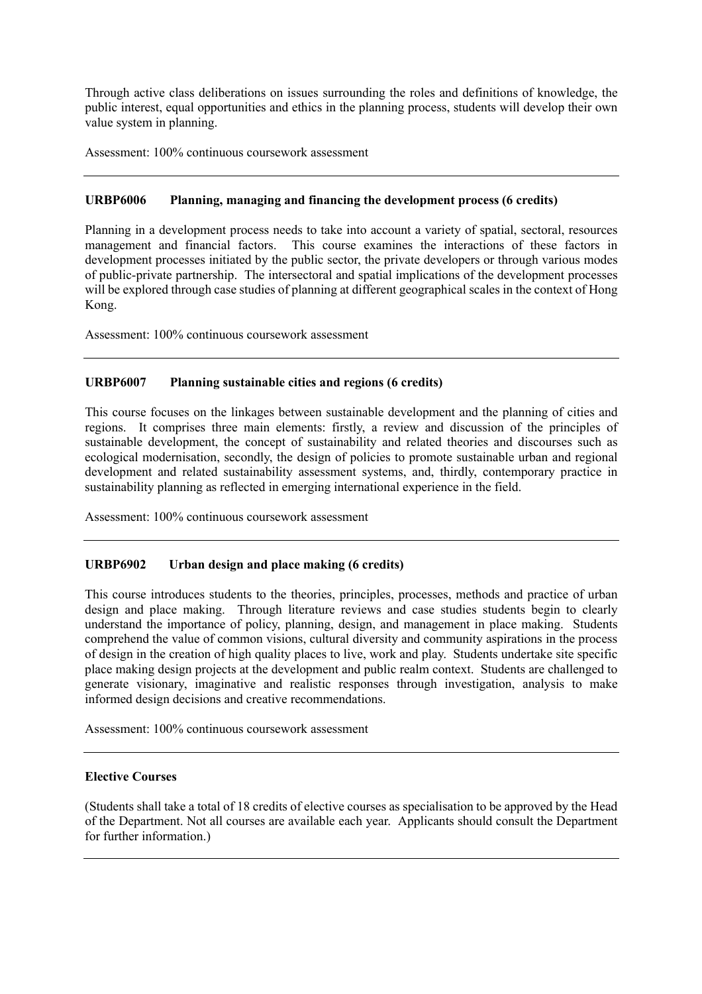Through active class deliberations on issues surrounding the roles and definitions of knowledge, the public interest, equal opportunities and ethics in the planning process, students will develop their own value system in planning.

Assessment: 100% continuous coursework assessment

#### Planning, managing and financing the development process (6 credits)

 Planning in a development process needs to take into account a variety of spatial, sectoral, resources management and financial factors. This course examines the interactions of these factors in development processes initiated by the public sector, the private developers or through various modes of public-private partnership. The intersectoral and spatial implications of the development processes will be explored through case studies of planning at different geographical scales in the context of Hong Kong.

Assessment: 100% continuous coursework assessment

#### **URBP6007** Planning sustainable cities and regions (6 credits)

 This course focuses on the linkages between sustainable development and the planning of cities and regions. It comprises three main elements: firstly, a review and discussion of the principles of sustainable development, the concept of sustainability and related theories and discourses such as ecological modernisation, secondly, the design of policies to promote sustainable urban and regional development and related sustainability assessment systems, and, thirdly, contemporary practice in sustainability planning as reflected in emerging international experience in the field.

Assessment: 100% continuous coursework assessment

#### **URBP6902** Urban design and place making (6 credits)

 This course introduces students to the theories, principles, processes, methods and practice of urban design and place making. Through literature reviews and case studies students begin to clearly understand the importance of policy, planning, design, and management in place making. Students comprehend the value of common visions, cultural diversity and community aspirations in the process of design in the creation of high quality places to live, work and play. Students undertake site specific place making design projects at the development and public realm context. Students are challenged to generate visionary, imaginative and realistic responses through investigation, analysis to make informed design decisions and creative recommendations.

Assessment: 100% continuous coursework assessment

### **Elective Courses**

 (Students shall take a total of 18 credits of elective courses as specialisation to be approved by the Head of the Department. Not all courses are available each year. Applicants should consult the Department for further information.)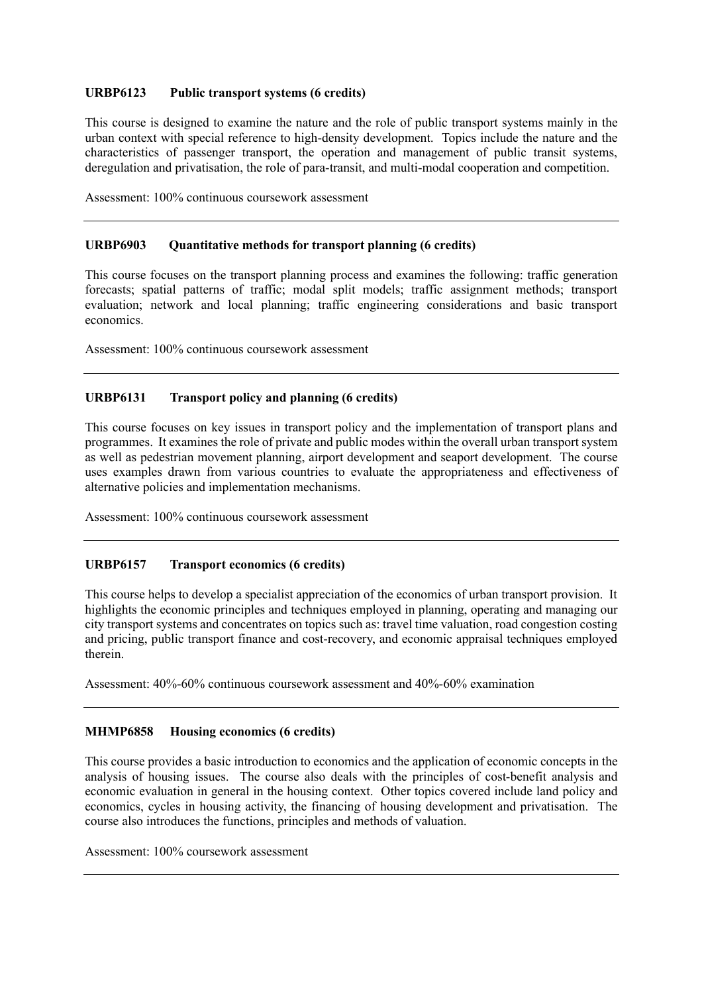#### URBP6123 Public transport systems (6 credits)

 This course is designed to examine the nature and the role of public transport systems mainly in the urban context with special reference to high-density development. Topics include the nature and the characteristics of passenger transport, the operation and management of public transit systems, deregulation and privatisation, the role of para-transit, and multi-modal cooperation and competition.

Assessment: 100% continuous coursework assessment

#### URBP6903 Quantitative methods for transport planning (6 credits)

 This course focuses on the transport planning process and examines the following: traffic generation evaluation; network and local planning; traffic engineering considerations and basic transport forecasts; spatial patterns of traffic; modal split models; traffic assignment methods; transport economics.

Assessment: 100% continuous coursework assessment

#### **Transport policy and planning (6 credits)**

 This course focuses on key issues in transport policy and the implementation of transport plans and programmes. It examines the role of private and public modes within the overall urban transport system as well as pedestrian movement planning, airport development and seaport development. The course uses examples drawn from various countries to evaluate the appropriateness and effectiveness of alternative policies and implementation mechanisms.

Assessment: 100% continuous coursework assessment

#### **URBP6157 Transport economics (6 credits)**

 This course helps to develop a specialist appreciation of the economics of urban transport provision. It city transport systems and concentrates on topics such as: travel time valuation, road congestion costing and pricing, public transport finance and cost-recovery, and economic appraisal techniques employed highlights the economic principles and techniques employed in planning, operating and managing our therein.

Assessment: 40%-60% continuous coursework assessment and 40%-60% examination

#### **MHMP6858 Housing economics (6 credits)**

 This course provides a basic introduction to economics and the application of economic concepts in the analysis of housing issues. The course also deals with the principles of cost-benefit analysis and economic evaluation in general in the housing context. Other topics covered include land policy and economics, cycles in housing activity, the financing of housing development and privatisation. The course also introduces the functions, principles and methods of valuation.

Assessment: 100% coursework assessment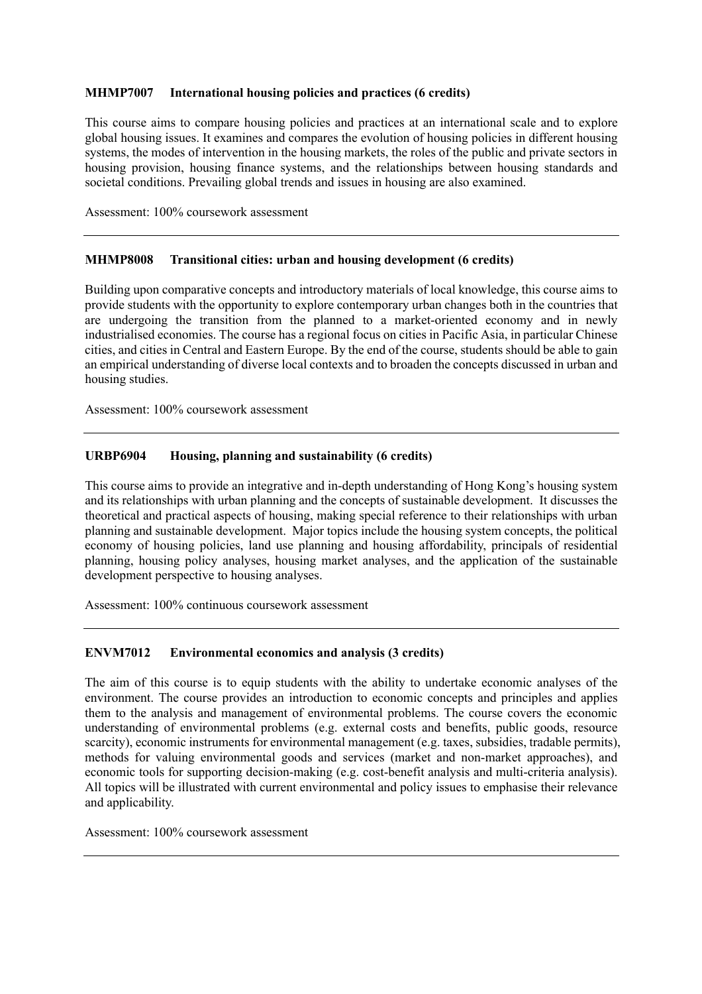#### **MHMP7007 International housing policies and practices (6 credits)**

 This course aims to compare housing policies and practices at an international scale and to explore global housing issues. It examines and compares the evolution of housing policies in different housing systems, the modes of intervention in the housing markets, the roles of the public and private sectors in housing provision, housing finance systems, and the relationships between housing standards and societal conditions. Prevailing global trends and issues in housing are also examined.

Assessment: 100% coursework assessment

#### **MHMP8008 Transitional cities: urban and housing development (6 credits)**

 Building upon comparative concepts and introductory materials of local knowledge, this course aims to provide students with the opportunity to explore contemporary urban changes both in the countries that industrialised economies. The course has a regional focus on cities in Pacific Asia, in particular Chinese cities, and cities in Central and Eastern Europe. By the end of the course, students should be able to gain an empirical understanding of diverse local contexts and to broaden the concepts discussed in urban and housing studies. are undergoing the transition from the planned to a market-oriented economy and in newly

Assessment: 100% coursework assessment

#### **URBP6904** Housing, planning and sustainability (6 credits)

 This course aims to provide an integrative and in-depth understanding of Hong Kong's housing system and its relationships with urban planning and the concepts of sustainable development. It discusses the theoretical and practical aspects of housing, making special reference to their relationships with urban planning and sustainable development. Major topics include the housing system concepts, the political economy of housing policies, land use planning and housing affordability, principals of residential planning, housing policy analyses, housing market analyses, and the application of the sustainable development perspective to housing analyses.

Assessment: 100% continuous coursework assessment

#### **ENVM7012 Environmental economics and analysis (3 credits)**

 The aim of this course is to equip students with the ability to undertake economic analyses of the environment. The course provides an introduction to economic concepts and principles and applies them to the analysis and management of environmental problems. The course covers the economic understanding of environmental problems (e.g. external costs and benefits, public goods, resource methods for valuing environmental goods and services (market and non-market approaches), and economic tools for supporting decision-making (e.g. cost-benefit analysis and multi-criteria analysis). All topics will be illustrated with current environmental and policy issues to emphasise their relevance scarcity), economic instruments for environmental management (e.g. taxes, subsidies, tradable permits), and applicability.

Assessment: 100% coursework assessment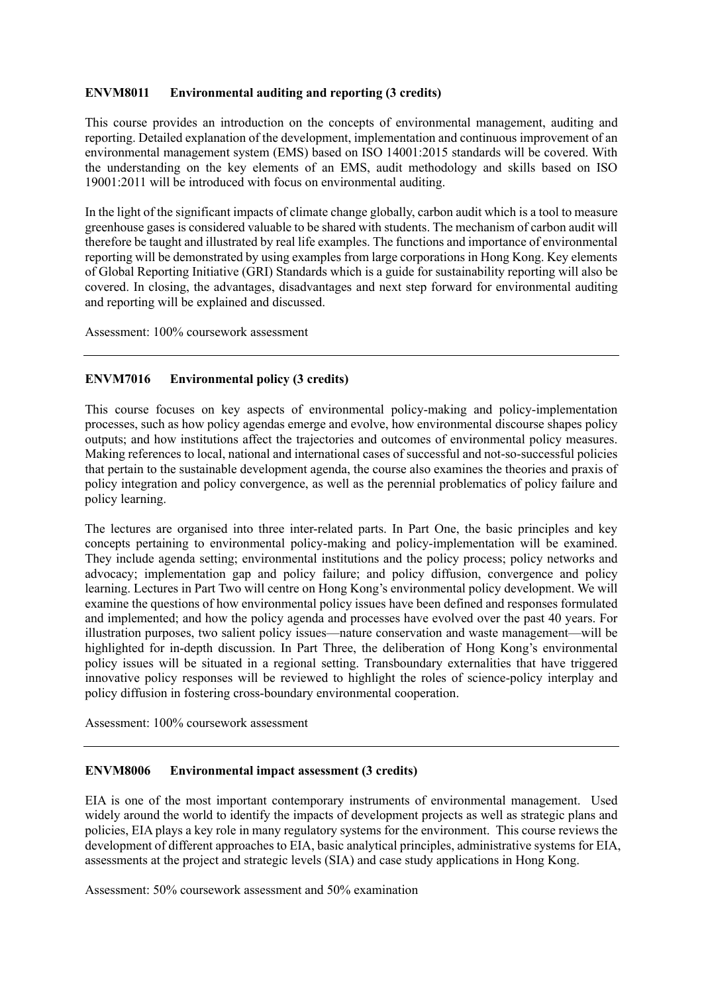#### **ENVM8011 Environmental auditing and reporting (3 credits)**

 This course provides an introduction on the concepts of environmental management, auditing and reporting. Detailed explanation of the development, implementation and continuous improvement of an environmental management system (EMS) based on ISO 14001:2015 standards will be covered. With the understanding on the key elements of an EMS, audit methodology and skills based on ISO 19001:2011 will be introduced with focus on environmental auditing.

 In the light of the significant impacts of climate change globally, carbon audit which is a tool to measure greenhouse gases is considered valuable to be shared with students. The mechanism of carbon audit will therefore be taught and illustrated by real life examples. The functions and importance of environmental reporting will be demonstrated by using examples from large corporations in Hong Kong. Key elements of Global Reporting Initiative (GRI) Standards which is a guide for sustainability reporting will also be covered. In closing, the advantages, disadvantages and next step forward for environmental auditing and reporting will be explained and discussed.

Assessment: 100% coursework assessment

#### **ENVM7016 Environmental policy (3 credits)**

 This course focuses on key aspects of environmental policy-making and policy-implementation processes, such as how policy agendas emerge and evolve, how environmental discourse shapes policy outputs; and how institutions affect the trajectories and outcomes of environmental policy measures. Making references to local, national and international cases of successful and not-so-successful policies policy integration and policy convergence, as well as the perennial problematics of policy failure and that pertain to the sustainable development agenda, the course also examines the theories and praxis of policy learning.

 The lectures are organised into three inter-related parts. In Part One, the basic principles and key concepts pertaining to environmental policy-making and policy-implementation will be examined. They include agenda setting; environmental institutions and the policy process; policy networks and learning. Lectures in Part Two will centre on Hong Kong's environmental policy development. We will examine the questions of how environmental policy issues have been defined and responses formulated and implemented; and how the policy agenda and processes have evolved over the past 40 years. For illustration purposes, two salient policy issues—nature conservation and waste management—will be highlighted for in-depth discussion. In Part Three, the deliberation of Hong Kong's environmental policy issues will be situated in a regional setting. Transboundary externalities that have triggered innovative policy responses will be reviewed to highlight the roles of science-policy interplay and advocacy; implementation gap and policy failure; and policy diffusion, convergence and policy policy diffusion in fostering cross-boundary environmental cooperation.

Assessment: 100% coursework assessment

#### **ENVM8006 Environmental impact assessment (3 credits)**

 EIA is one of the most important contemporary instruments of environmental management. Used widely around the world to identify the impacts of development projects as well as strategic plans and policies, EIA plays a key role in many regulatory systems for the environment. This course reviews the development of different approaches to EIA, basic analytical principles, administrative systems for EIA, assessments at the project and strategic levels (SIA) and case study applications in Hong Kong.

Assessment: 50% coursework assessment and 50% examination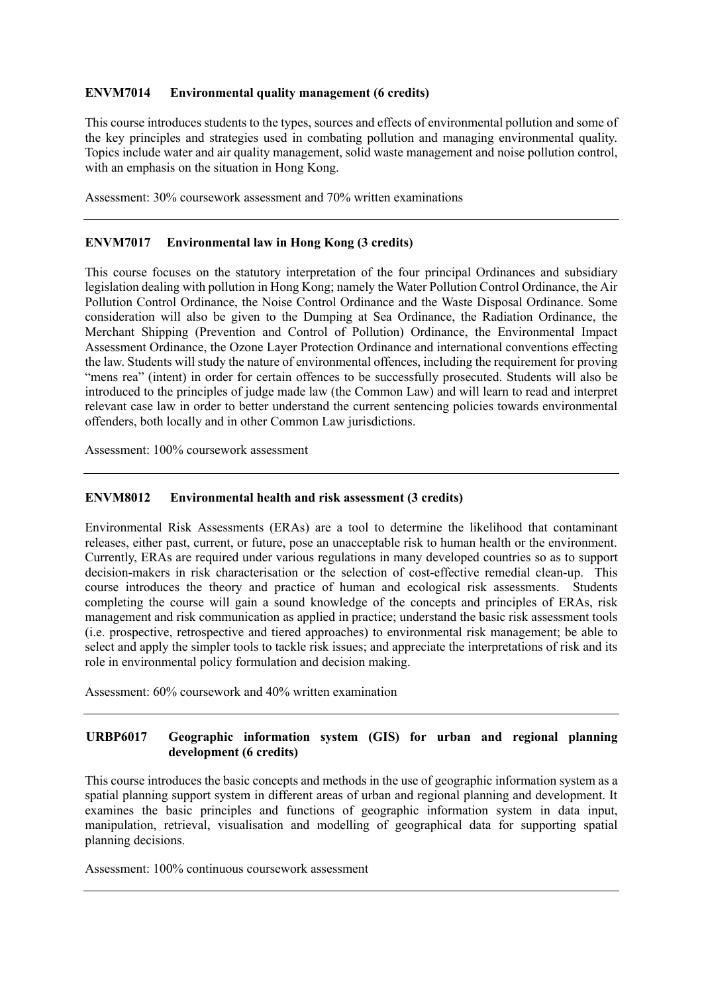#### **ENVM7014 Environmental quality management (6 credits)**

 This course introduces students to the types, sources and effects of environmental pollution and some of the key principles and strategies used in combating pollution and managing environmental quality. Topics include water and air quality management, solid waste management and noise pollution control, with an emphasis on the situation in Hong Kong.

Assessment: 30% coursework assessment and 70% written examinations

#### **ENVM7017 Environmental law in Hong Kong (3 credits)**

 This course focuses on the statutory interpretation of the four principal Ordinances and subsidiary legislation dealing with pollution in Hong Kong; namely the Water Pollution Control Ordinance, the Air Pollution Control Ordinance, the Noise Control Ordinance and the Waste Disposal Ordinance. Some Merchant Shipping (Prevention and Control of Pollution) Ordinance, the Environmental Impact Assessment Ordinance, the Ozone Layer Protection Ordinance and international conventions effecting the law. Students will study the nature of environmental offences, including the requirement for proving "mens rea" (intent) in order for certain offences to be successfully prosecuted. Students will also be introduced to the principles of judge made law (the Common Law) and will learn to read and interpret relevant case law in order to better understand the current sentencing policies towards environmental consideration will also be given to the Dumping at Sea Ordinance, the Radiation Ordinance, the offenders, both locally and in other Common Law jurisdictions.

Assessment: 100% coursework assessment

#### **ENVM8012 Environmental health and risk assessment (3 credits)**

 Environmental Risk Assessments (ERAs) are a tool to determine the likelihood that contaminant releases, either past, current, or future, pose an unacceptable risk to human health or the environment. Currently, ERAs are required under various regulations in many developed countries so as to support decision-makers in risk characterisation or the selection of cost-effective remedial clean-up. This completing the course will gain a sound knowledge of the concepts and principles of ERAs, risk (i.e. prospective, retrospective and tiered approaches) to environmental risk management; be able to select and apply the simpler tools to tackle risk issues; and appreciate the interpretations of risk and its course introduces the theory and practice of human and ecological risk assessments. Students management and risk communication as applied in practice; understand the basic risk assessment tools role in environmental policy formulation and decision making.

Assessment: 60% coursework and 40% written examination

### **IIRRP6017** Geographic information system (GIS) for urban and regional planning **development (6 credits)**

 This course introduces the basic concepts and methods in the use of geographic information system as a spatial planning support system in different areas of urban and regional planning and development. It examines the basic principles and functions of geographic information system in data input, manipulation, retrieval, visualisation and modelling of geographical data for supporting spatial planning decisions.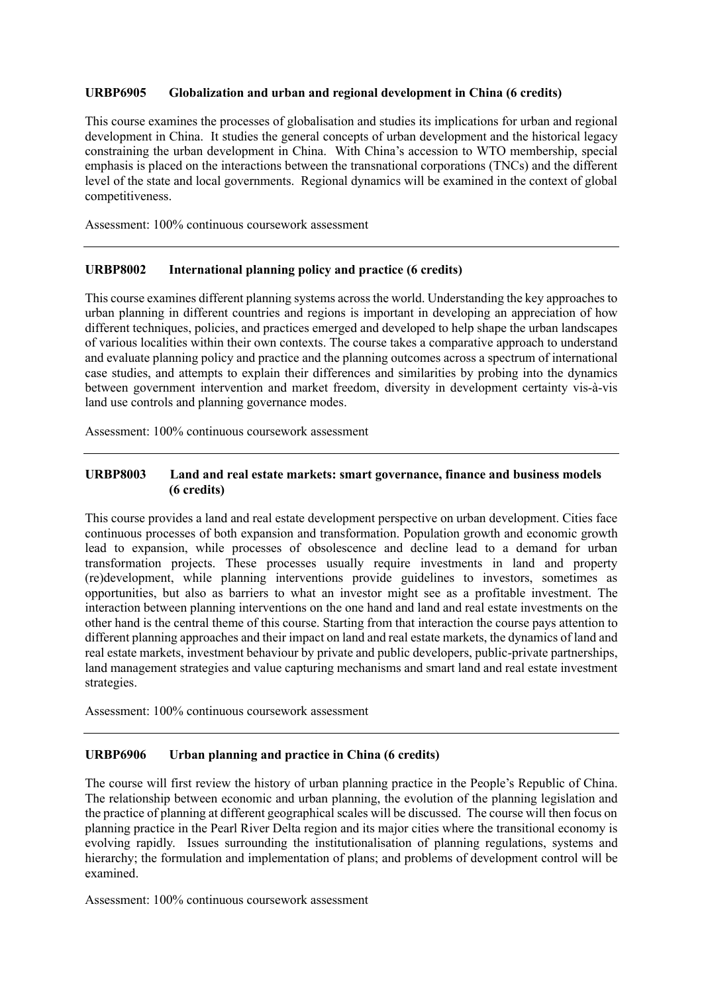#### URBP6905 **Globalization and urban and regional development in China (6 credits)**

 This course examines the processes of globalisation and studies its implications for urban and regional development in China. It studies the general concepts of urban development and the historical legacy constraining the urban development in China. With China's accession to WTO membership, special emphasis is placed on the interactions between the transnational corporations (TNCs) and the different level of the state and local governments. Regional dynamics will be examined in the context of global competitiveness.

Assessment: 100% continuous coursework assessment

#### *IIRRP8002* International planning policy and practice (6 credits)

 This course examines different planning systems across the world. Understanding the key approaches to urban planning in different countries and regions is important in developing an appreciation of how different techniques, policies, and practices emerged and developed to help shape the urban landscapes of various localities within their own contexts. The course takes a comparative approach to understand and evaluate planning policy and practice and the planning outcomes across a spectrum of international case studies, and attempts to explain their differences and similarities by probing into the dynamics between government intervention and market freedom, diversity in development certainty vis-à-vis land use controls and planning governance modes.

Assessment: 100% continuous coursework assessment

### **IIRRP8003 Land and real estate markets: smart governance, finance and business models (6 credits)**

 This course provides a land and real estate development perspective on urban development. Cities face continuous processes of both expansion and transformation. Population growth and economic growth lead to expansion, while processes of obsolescence and decline lead to a demand for urban transformation projects. These processes usually require investments in land and property (re)development, while planning interventions provide guidelines to investors, sometimes as opportunities, but also as barriers to what an investor might see as a profitable investment. The interaction between planning interventions on the one hand and land and real estate investments on the other hand is the central theme of this course. Starting from that interaction the course pays attention to different planning approaches and their impact on land and real estate markets, the dynamics of land and real estate markets, investment behaviour by private and public developers, public-private partnerships, land management strategies and value capturing mechanisms and smart land and real estate investment strategies.

Assessment: 100% continuous coursework assessment

#### Urban planning and practice in China (6 credits)

 The course will first review the history of urban planning practice in the People's Republic of China. The relationship between economic and urban planning, the evolution of the planning legislation and the practice of planning at different geographical scales will be discussed. The course will then focus on planning practice in the Pearl River Delta region and its major cities where the transitional economy is evolving rapidly. Issues surrounding the institutionalisation of planning regulations, systems and hierarchy; the formulation and implementation of plans; and problems of development control will be examined.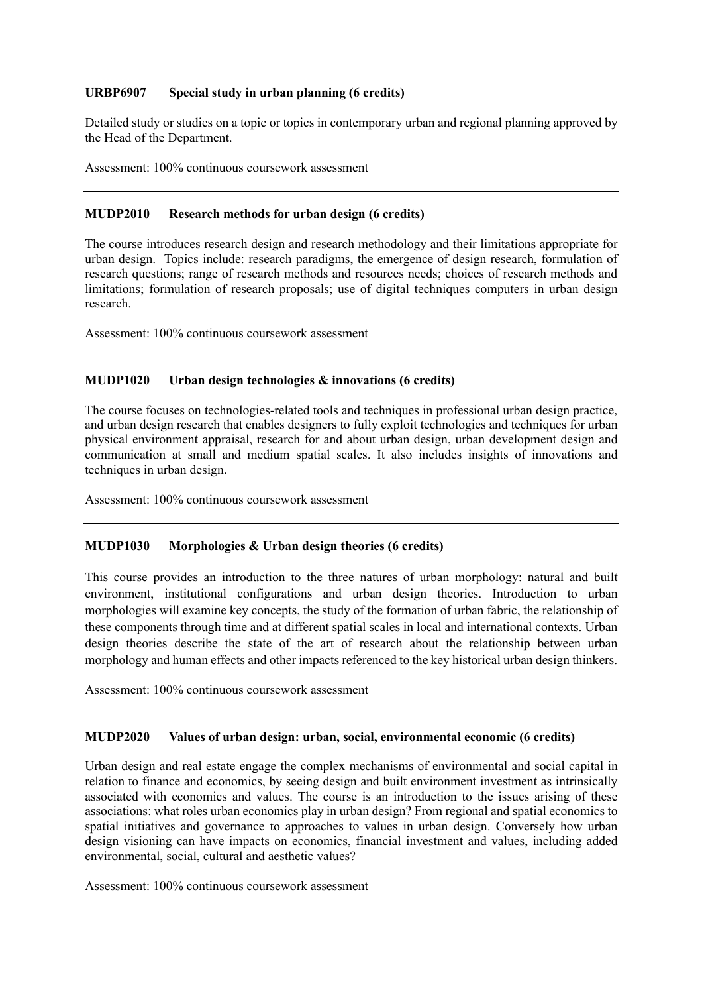#### **URBP6907 Special study in urban planning (6 credits)**

 Detailed study or studies on a topic or topics in contemporary urban and regional planning approved by the Head of the Department.

Assessment: 100% continuous coursework assessment

#### **MUDP2010** Research methods for urban design (6 credits)

 The course introduces research design and research methodology and their limitations appropriate for urban design. Topics include: research paradigms, the emergence of design research, formulation of research questions; range of research methods and resources needs; choices of research methods and limitations; formulation of research proposals; use of digital techniques computers in urban design research.

Assessment: 100% continuous coursework assessment

#### **MUDP1020** Urban design technologies & innovations (6 credits)

 The course focuses on technologies-related tools and techniques in professional urban design practice, and urban design research that enables designers to fully exploit technologies and techniques for urban physical environment appraisal, research for and about urban design, urban development design and communication at small and medium spatial scales. It also includes insights of innovations and techniques in urban design.

Assessment: 100% continuous coursework assessment

#### **MUDP1030 Morphologies & Urban design theories (6 credits)**

 This course provides an introduction to the three natures of urban morphology: natural and built morphologies will examine key concepts, the study of the formation of urban fabric, the relationship of these components through time and at different spatial scales in local and international contexts. Urban design theories describe the state of the art of research about the relationship between urban morphology and human effects and other impacts referenced to the key historical urban design thinkers. environment, institutional configurations and urban design theories. Introduction to urban

Assessment: 100% continuous coursework assessment

#### **MUDP2020** Values of urban design: urban, social, environmental economic (6 credits)

 Urban design and real estate engage the complex mechanisms of environmental and social capital in relation to finance and economics, by seeing design and built environment investment as intrinsically associated with economics and values. The course is an introduction to the issues arising of these associations: what roles urban economics play in urban design? From regional and spatial economics to spatial initiatives and governance to approaches to values in urban design. Conversely how urban design visioning can have impacts on economics, financial investment and values, including added environmental, social, cultural and aesthetic values?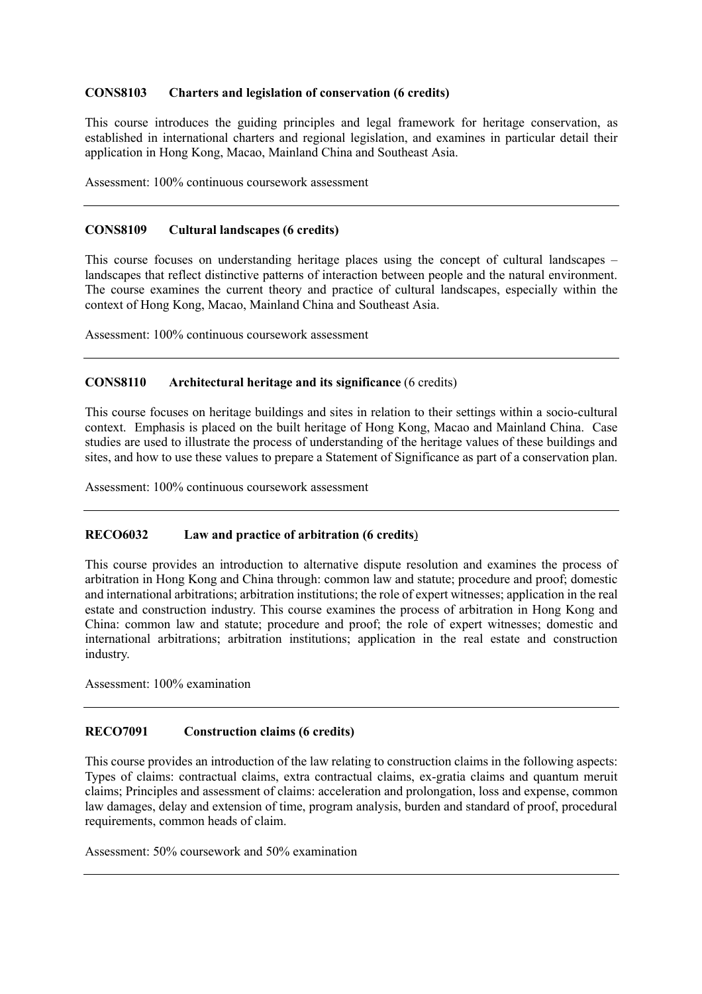#### **Charters and legislation of conservation (6 credits)**

 This course introduces the guiding principles and legal framework for heritage conservation, as established in international charters and regional legislation, and examines in particular detail their application in Hong Kong, Macao, Mainland China and Southeast Asia.

Assessment: 100% continuous coursework assessment

#### **Cultural landscapes (6 credits)**

 This course focuses on understanding heritage places using the concept of cultural landscapes – landscapes that reflect distinctive patterns of interaction between people and the natural environment. The course examines the current theory and practice of cultural landscapes, especially within the context of Hong Kong, Macao, Mainland China and Southeast Asia.

Assessment: 100% continuous coursework assessment

#### Architectural heritage and its significance (6 credits)

 This course focuses on heritage buildings and sites in relation to their settings within a socio-cultural context. Emphasis is placed on the built heritage of Hong Kong, Macao and Mainland China. Case studies are used to illustrate the process of understanding of the heritage values of these buildings and sites, and how to use these values to prepare a Statement of Significance as part of a conservation plan.

Assessment: 100% continuous coursework assessment

#### **RECO6032** Law and practice of arbitration (6 credits)

 This course provides an introduction to alternative dispute resolution and examines the process of arbitration in Hong Kong and China through: common law and statute; procedure and proof; domestic and international arbitrations; arbitration institutions; the role of expert witnesses; application in the real estate and construction industry. This course examines the process of arbitration in Hong Kong and China: common law and statute; procedure and proof; the role of expert witnesses; domestic and international arbitrations; arbitration institutions; application in the real estate and construction industry.

Assessment: 100% examination

#### **RECO7091 Construction claims (6 credits)**

 This course provides an introduction of the law relating to construction claims in the following aspects: Types of claims: contractual claims, extra contractual claims, ex-gratia claims and quantum meruit claims; Principles and assessment of claims: acceleration and prolongation, loss and expense, common law damages, delay and extension of time, program analysis, burden and standard of proof, procedural requirements, common heads of claim.

Assessment: 50% coursework and 50% examination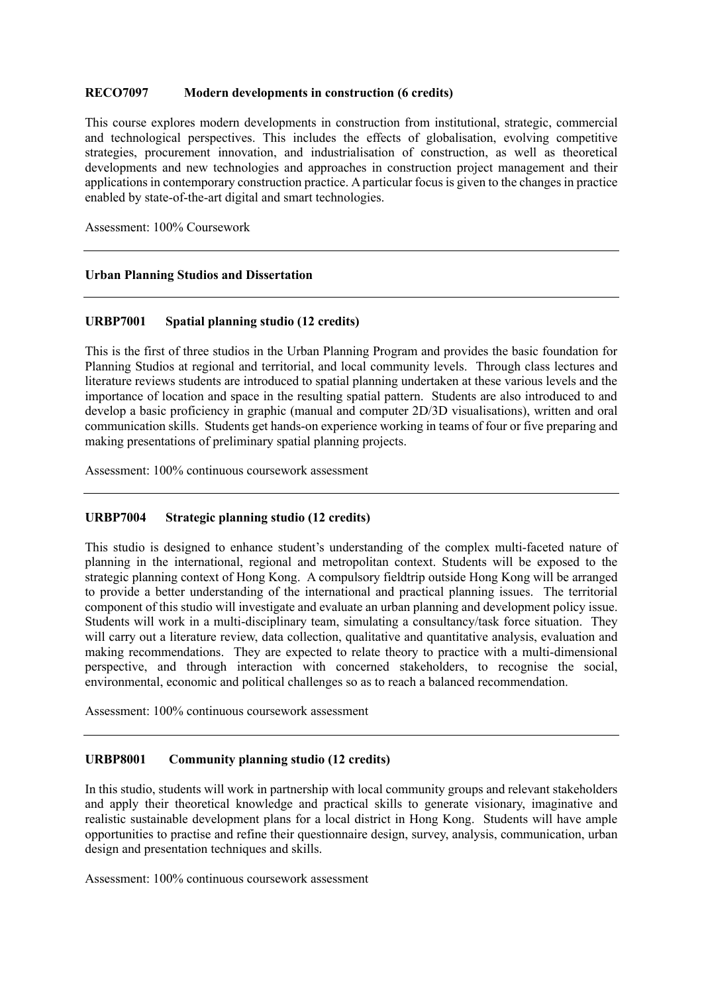#### **RECO7097 Modern developments in construction (6 credits)**

 This course explores modern developments in construction from institutional, strategic, commercial and technological perspectives. This includes the effects of globalisation, evolving competitive strategies, procurement innovation, and industrialisation of construction, as well as theoretical developments and new technologies and approaches in construction project management and their applications in contemporary construction practice. A particular focus is given to the changes in practice enabled by state-of-the-art digital and smart technologies.

Assessment: 100% Coursework

### **Urban Planning Studios and Dissertation**

### **URBP7001 Spatial planning studio (12 credits)**

 This is the first of three studios in the Urban Planning Program and provides the basic foundation for Planning Studios at regional and territorial, and local community levels. Through class lectures and importance of location and space in the resulting spatial pattern. Students are also introduced to and develop a basic proficiency in graphic (manual and computer 2D/3D visualisations), written and oral communication skills. Students get hands-on experience working in teams of four or five preparing and making presentations of preliminary spatial planning projects. literature reviews students are introduced to spatial planning undertaken at these various levels and the

Assessment: 100% continuous coursework assessment

### **URBP7004 Strategic planning studio (12 credits)**

 This studio is designed to enhance student's understanding of the complex multi-faceted nature of planning in the international, regional and metropolitan context. Students will be exposed to the strategic planning context of Hong Kong. A compulsory fieldtrip outside Hong Kong will be arranged to provide a better understanding of the international and practical planning issues. The territorial component of this studio will investigate and evaluate an urban planning and development policy issue. Students will work in a multi-disciplinary team, simulating a consultancy/task force situation. They will carry out a literature review, data collection, qualitative and quantitative analysis, evaluation and making recommendations. They are expected to relate theory to practice with a multi-dimensional environmental, economic and political challenges so as to reach a balanced recommendation. perspective, and through interaction with concerned stakeholders, to recognise the social,

Assessment: 100% continuous coursework assessment

#### **URBP8001 Community planning studio (12 credits)**

 In this studio, students will work in partnership with local community groups and relevant stakeholders and apply their theoretical knowledge and practical skills to generate visionary, imaginative and realistic sustainable development plans for a local district in Hong Kong. Students will have ample opportunities to practise and refine their questionnaire design, survey, analysis, communication, urban design and presentation techniques and skills.